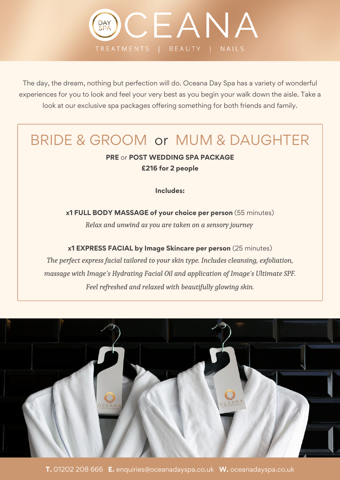

The day, the dream, nothing but perfection will do. Oceana Day Spa has a variety of wonderful experiences for you to look and feel your very best as you begin your walk down the aisle. Take a look at our exclusive spa packages offering something for both friends and family.

## BRIDE & GROOM or MUM & DAUGHTER

### **PRE** or **POST WEDDING SPA PACKAGE £216 for 2 people**

**Includes:**

**x1 FULL BODY MASSAGE of your choice per person** (55 minutes) *Relax and unwind as you are taken on a sensory journey*

**x1 EXPRESS FACIAL by Image Skincare per person** (25 minutes) *The perfect express facial tailored to your skin type. Includes cleansing, exfoliation, massage with Image's Hydrating Facial Oil and application of Image's Ultimate SPF. Feel refreshed and relaxed with beautifully glowing skin.*